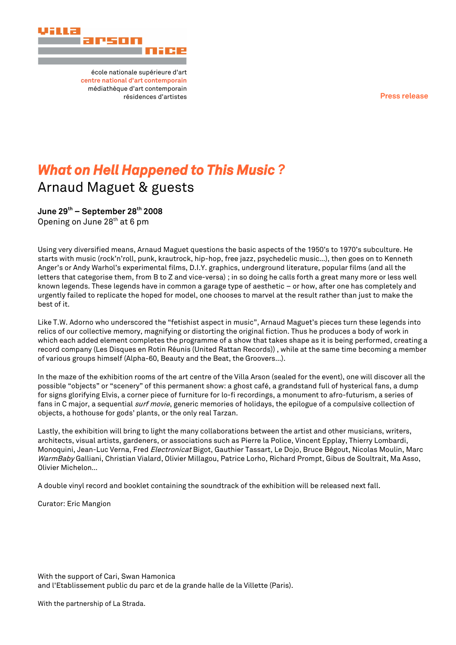**Press release**



école nationale supérieure d'art **centre national d'art contemporain** médiathèque d'art contemporain résidences d'artistes

# *What on Hell Happened to This Music ?* Arnaud Maguet & guests

**June 29th – September 28th 2008** Opening on June 28<sup>th</sup> at 6 pm

Using very diversified means, Arnaud Maguet questions the basic aspects of the 1950's to 1970's subculture. He starts with music (rock'n'roll, punk, krautrock, hip-hop, free jazz, psychedelic music…), then goes on to Kenneth Anger's or Andy Warhol's experimental films, D.I.Y. graphics, underground literature, popular films (and all the letters that categorise them, from B to Z and vice-versa) ; in so doing he calls forth a great many more or less well known legends. These legends have in common a garage type of aesthetic – or how, after one has completely and urgently failed to replicate the hoped for model, one chooses to marvel at the result rather than just to make the best of it.

Like T.W. Adorno who underscored the "fetishist aspect in music", Arnaud Maguet's pieces turn these legends into relics of our collective memory, magnifying or distorting the original fiction. Thus he produces a body of work in which each added element completes the programme of a show that takes shape as it is being performed, creating a record company (Les Disques en Rotin Réunis (United Rattan Records)) , while at the same time becoming a member of various groups himself (Alpha-60, Beauty and the Beat, the Groovers…).

In the maze of the exhibition rooms of the art centre of the Villa Arson (sealed for the event), one will discover all the possible "objects" or "scenery" of this permanent show: a ghost café, a grandstand full of hysterical fans, a dump for signs glorifying Elvis, a corner piece of furniture for lo-fi recordings, a monument to afro-futurism, a series of fans in C major, a sequential *surf movie*, generic memories of holidays, the epilogue of a compulsive collection of objects, a hothouse for gods' plants, or the only real Tarzan.

Lastly, the exhibition will bring to light the many collaborations between the artist and other musicians, writers, architects, visual artists, gardeners, or associations such as Pierre la Police, Vincent Epplay, Thierry Lombardi, Monoquini, Jean-Luc Verna, Fred Electronicat Bigot, Gauthier Tassart, Le Dojo, Bruce Bégout, Nicolas Moulin, Marc WarmBaby Galliani, Christian Vialard, Olivier Millagou, Patrice Lorho, Richard Prompt, Gibus de Soultrait, Ma Asso, Olivier Michelon…

A double vinyl record and booklet containing the soundtrack of the exhibition will be released next fall.

Curator: Eric Mangion

With the support of Cari, Swan Hamonica and l'Etablissement public du parc et de la grande halle de la Villette (Paris).

With the partnership of La Strada.